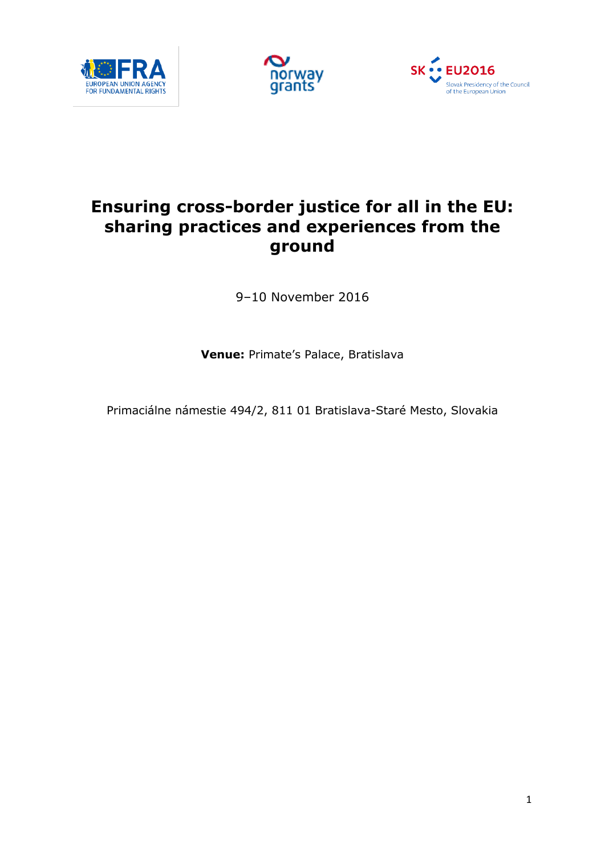





# **Ensuring cross-border justice for all in the EU: sharing practices and experiences from the ground**

9–10 November 2016

**Venue:** Primate's Palace, Bratislava

Primaciálne námestie 494/2, 811 01 Bratislava-Staré Mesto, Slovakia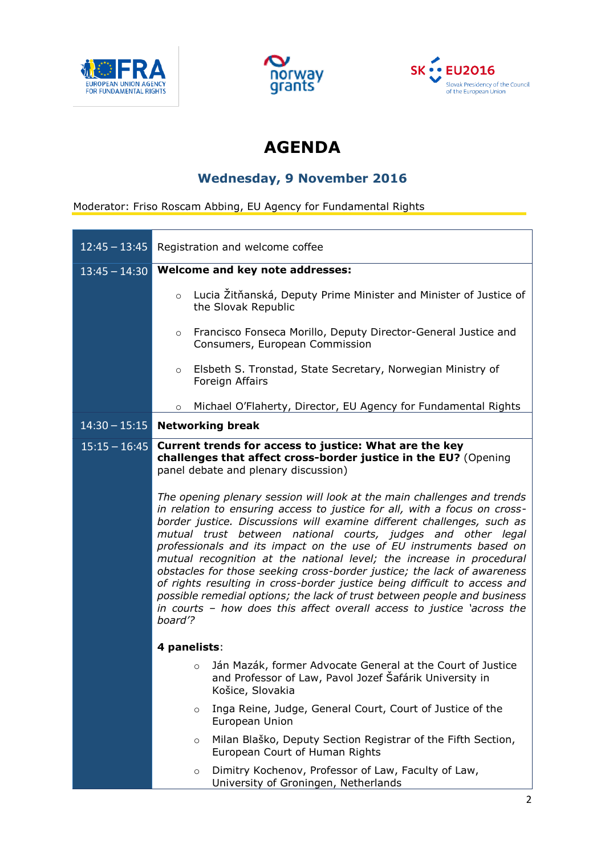





# **AGENDA**

#### **Wednesday, 9 November 2016**

Moderator: Friso Roscam Abbing, EU Agency for Fundamental Rights

| $12:45 - 13:45$ | Registration and welcome coffee                                                                                                                                                                                                                                                                                                                                                                                                                                                                                                                                                                                                                                                                                                                                       |
|-----------------|-----------------------------------------------------------------------------------------------------------------------------------------------------------------------------------------------------------------------------------------------------------------------------------------------------------------------------------------------------------------------------------------------------------------------------------------------------------------------------------------------------------------------------------------------------------------------------------------------------------------------------------------------------------------------------------------------------------------------------------------------------------------------|
| $13:45 - 14:30$ | Welcome and key note addresses:                                                                                                                                                                                                                                                                                                                                                                                                                                                                                                                                                                                                                                                                                                                                       |
|                 | Lucia Žitňanská, Deputy Prime Minister and Minister of Justice of<br>$\circ$<br>the Slovak Republic                                                                                                                                                                                                                                                                                                                                                                                                                                                                                                                                                                                                                                                                   |
|                 | Francisco Fonseca Morillo, Deputy Director-General Justice and<br>$\circ$<br>Consumers, European Commission                                                                                                                                                                                                                                                                                                                                                                                                                                                                                                                                                                                                                                                           |
|                 | Elsbeth S. Tronstad, State Secretary, Norwegian Ministry of<br>$\circ$<br>Foreign Affairs                                                                                                                                                                                                                                                                                                                                                                                                                                                                                                                                                                                                                                                                             |
|                 | Michael O'Flaherty, Director, EU Agency for Fundamental Rights<br>$\circ$                                                                                                                                                                                                                                                                                                                                                                                                                                                                                                                                                                                                                                                                                             |
| $14:30 - 15:15$ | <b>Networking break</b>                                                                                                                                                                                                                                                                                                                                                                                                                                                                                                                                                                                                                                                                                                                                               |
| $15:15 - 16:45$ | Current trends for access to justice: What are the key<br>challenges that affect cross-border justice in the EU? (Opening<br>panel debate and plenary discussion)                                                                                                                                                                                                                                                                                                                                                                                                                                                                                                                                                                                                     |
|                 | The opening plenary session will look at the main challenges and trends<br>in relation to ensuring access to justice for all, with a focus on cross-<br>border justice. Discussions will examine different challenges, such as<br>mutual trust between national courts, judges and other legal<br>professionals and its impact on the use of EU instruments based on<br>mutual recognition at the national level; the increase in procedural<br>obstacles for those seeking cross-border justice; the lack of awareness<br>of rights resulting in cross-border justice being difficult to access and<br>possible remedial options; the lack of trust between people and business<br>in courts - how does this affect overall access to justice 'across the<br>board'? |
|                 | 4 panelists:                                                                                                                                                                                                                                                                                                                                                                                                                                                                                                                                                                                                                                                                                                                                                          |
|                 | Ján Mazák, former Advocate General at the Court of Justice<br>$\circ$<br>and Professor of Law, Pavol Jozef Safárik University in<br>Košice, Slovakia                                                                                                                                                                                                                                                                                                                                                                                                                                                                                                                                                                                                                  |
|                 | Inga Reine, Judge, General Court, Court of Justice of the<br>$\circ$<br>European Union                                                                                                                                                                                                                                                                                                                                                                                                                                                                                                                                                                                                                                                                                |
|                 | Milan Blaško, Deputy Section Registrar of the Fifth Section,<br>$\circ$<br>European Court of Human Rights                                                                                                                                                                                                                                                                                                                                                                                                                                                                                                                                                                                                                                                             |
|                 | Dimitry Kochenov, Professor of Law, Faculty of Law,<br>$\circ$<br>University of Groningen, Netherlands                                                                                                                                                                                                                                                                                                                                                                                                                                                                                                                                                                                                                                                                |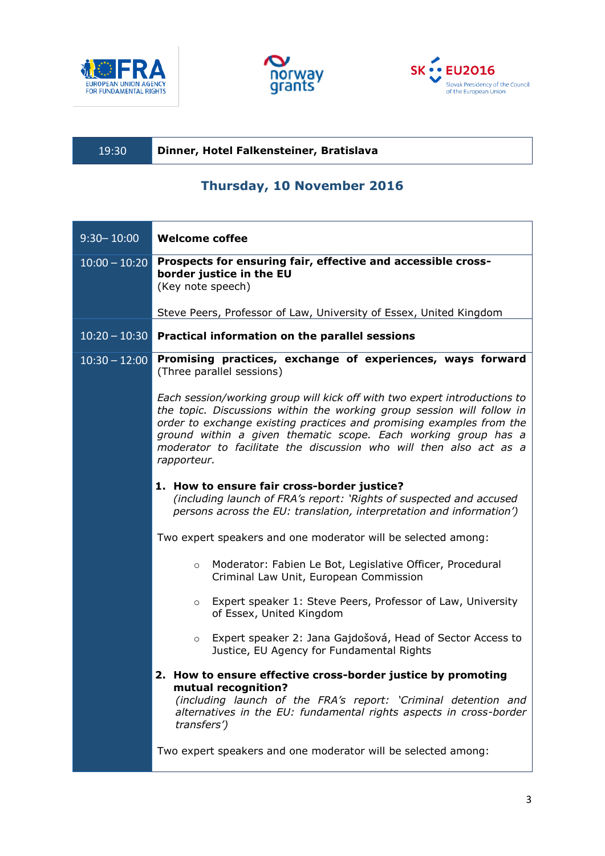





| 19:30 | Dinner, Hotel Falkensteiner, Bratislava |
|-------|-----------------------------------------|
|       |                                         |

### **Thursday, 10 November 2016**

| $9:30 - 10:00$  | <b>Welcome coffee</b>                                                                                                                                                                                                                                                                                                                                                              |
|-----------------|------------------------------------------------------------------------------------------------------------------------------------------------------------------------------------------------------------------------------------------------------------------------------------------------------------------------------------------------------------------------------------|
| $10:00 - 10:20$ | Prospects for ensuring fair, effective and accessible cross-<br>border justice in the EU<br>(Key note speech)                                                                                                                                                                                                                                                                      |
|                 | Steve Peers, Professor of Law, University of Essex, United Kingdom                                                                                                                                                                                                                                                                                                                 |
|                 | $10:20 - 10:30$ Practical information on the parallel sessions                                                                                                                                                                                                                                                                                                                     |
| $10:30 - 12:00$ | Promising practices, exchange of experiences, ways forward<br>(Three parallel sessions)                                                                                                                                                                                                                                                                                            |
|                 | Each session/working group will kick off with two expert introductions to<br>the topic. Discussions within the working group session will follow in<br>order to exchange existing practices and promising examples from the<br>ground within a given thematic scope. Each working group has a<br>moderator to facilitate the discussion who will then also act as a<br>rapporteur. |
|                 | 1. How to ensure fair cross-border justice?<br>(including launch of FRA's report: 'Rights of suspected and accused<br>persons across the EU: translation, interpretation and information')                                                                                                                                                                                         |
|                 | Two expert speakers and one moderator will be selected among:                                                                                                                                                                                                                                                                                                                      |
|                 | Moderator: Fabien Le Bot, Legislative Officer, Procedural<br>$\circ$<br>Criminal Law Unit, European Commission                                                                                                                                                                                                                                                                     |
|                 | Expert speaker 1: Steve Peers, Professor of Law, University<br>$\circ$<br>of Essex, United Kingdom                                                                                                                                                                                                                                                                                 |
|                 | Expert speaker 2: Jana Gajdošová, Head of Sector Access to<br>$\circ$<br>Justice, EU Agency for Fundamental Rights                                                                                                                                                                                                                                                                 |
|                 | 2. How to ensure effective cross-border justice by promoting<br>mutual recognition?<br>(including launch of the FRA's report: 'Criminal detention and<br>alternatives in the EU: fundamental rights aspects in cross-border<br>transfers')                                                                                                                                         |
|                 | Two expert speakers and one moderator will be selected among:                                                                                                                                                                                                                                                                                                                      |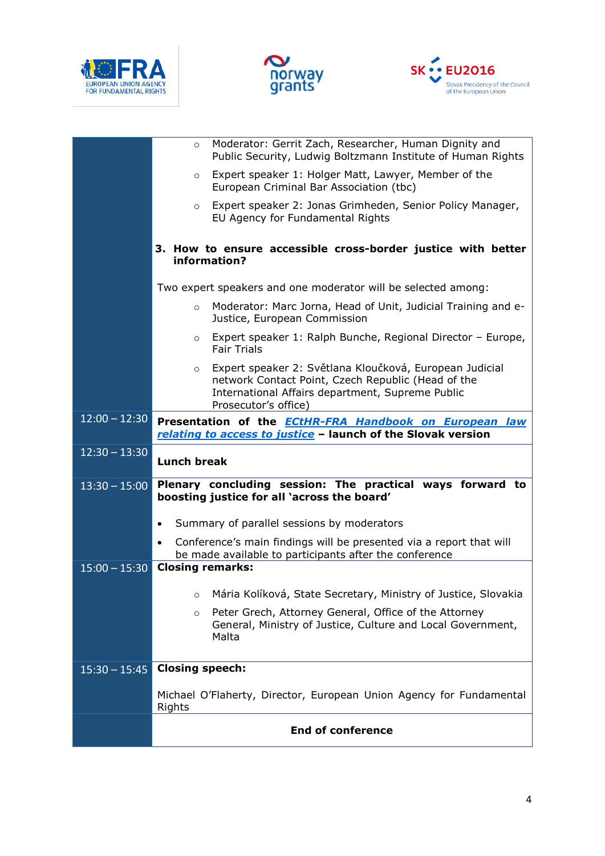





|                 | Moderator: Gerrit Zach, Researcher, Human Dignity and<br>$\circ$<br>Public Security, Ludwig Boltzmann Institute of Human Rights                                                                      |
|-----------------|------------------------------------------------------------------------------------------------------------------------------------------------------------------------------------------------------|
|                 | Expert speaker 1: Holger Matt, Lawyer, Member of the<br>$\circ$<br>European Criminal Bar Association (tbc)                                                                                           |
|                 | Expert speaker 2: Jonas Grimheden, Senior Policy Manager,<br>$\circ$<br>EU Agency for Fundamental Rights                                                                                             |
|                 | 3. How to ensure accessible cross-border justice with better<br>information?                                                                                                                         |
|                 | Two expert speakers and one moderator will be selected among:                                                                                                                                        |
|                 | Moderator: Marc Jorna, Head of Unit, Judicial Training and e-<br>$\circ$<br>Justice, European Commission                                                                                             |
|                 | Expert speaker 1: Ralph Bunche, Regional Director - Europe,<br>$\circ$<br><b>Fair Trials</b>                                                                                                         |
|                 | Expert speaker 2: Světlana Kloučková, European Judicial<br>$\circ$<br>network Contact Point, Czech Republic (Head of the<br>International Affairs department, Supreme Public<br>Prosecutor's office) |
| $12:00 - 12:30$ | Presentation of the <b>ECtHR-FRA Handbook on European law</b><br>relating to access to justice - launch of the Slovak version                                                                        |
| $12:30 - 13:30$ | <b>Lunch break</b>                                                                                                                                                                                   |
| $13:30 - 15:00$ | Plenary concluding session: The practical ways forward to<br>boosting justice for all 'across the board'                                                                                             |
|                 | Summary of parallel sessions by moderators<br>$\bullet$                                                                                                                                              |
|                 | Conference's main findings will be presented via a report that will<br>be made available to participants after the conference                                                                        |
| $15:00 - 15:30$ | <b>Closing remarks:</b>                                                                                                                                                                              |
|                 |                                                                                                                                                                                                      |
|                 | o Mária Kolíková, State Secretary, Ministry of Justice, Slovakia                                                                                                                                     |
|                 | Peter Grech, Attorney General, Office of the Attorney<br>$\circ$<br>General, Ministry of Justice, Culture and Local Government,<br>Malta                                                             |
| $15:30 - 15:45$ | <b>Closing speech:</b>                                                                                                                                                                               |
|                 | Michael O'Flaherty, Director, European Union Agency for Fundamental<br>Rights                                                                                                                        |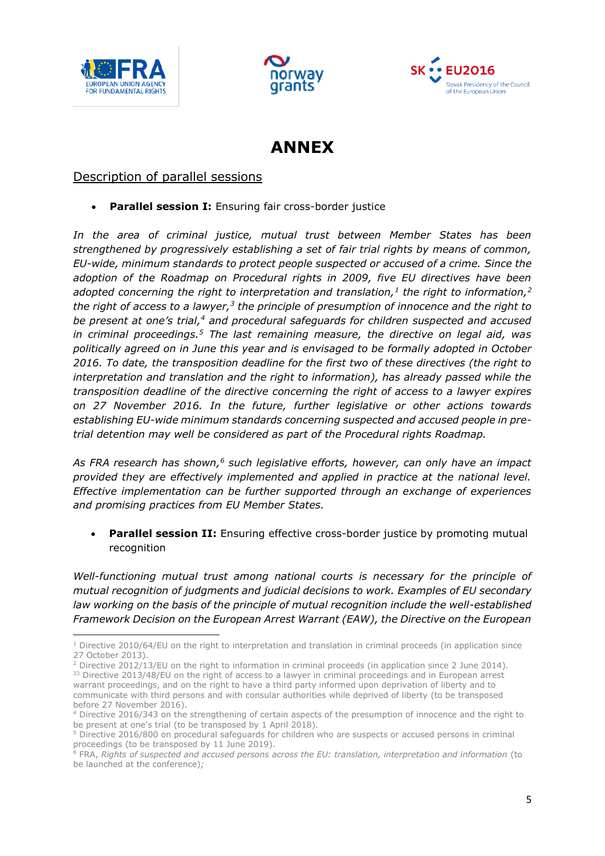

1





## **ANNEX**

#### Description of parallel sessions

**Parallel session I:** Ensuring fair cross-border justice

*In the area of criminal justice, mutual trust between Member States has been strengthened by progressively establishing a set of fair trial rights by means of common, EU-wide, minimum standards to protect people suspected or accused of a crime. Since the adoption of the Roadmap on Procedural rights in 2009, five EU directives have been adopted concerning the right to interpretation and translation,<sup>1</sup> the right to information,<sup>2</sup>* the right of access to a lawyer,<sup>3</sup> the principle of presumption of innocence and the right to *be present at one's trial,<sup>4</sup> and procedural safeguards for children suspected and accused in criminal proceedings.<sup>5</sup> The last remaining measure, the directive on legal aid, was politically agreed on in June this year and is envisaged to be formally adopted in October 2016. To date, the transposition deadline for the first two of these directives (the right to interpretation and translation and the right to information), has already passed while the transposition deadline of the directive concerning the right of access to a lawyer expires on 27 November 2016. In the future, further legislative or other actions towards establishing EU-wide minimum standards concerning suspected and accused people in pretrial detention may well be considered as part of the Procedural rights Roadmap.*

*As FRA research has shown,<sup>6</sup> such legislative efforts, however, can only have an impact provided they are effectively implemented and applied in practice at the national level. Effective implementation can be further supported through an exchange of experiences and promising practices from EU Member States.*

 **Parallel session II:** Ensuring effective cross-border justice by promoting mutual recognition

*Well-functioning mutual trust among national courts is necessary for the principle of mutual recognition of judgments and judicial decisions to work. Examples of EU secondary*  law working on the basis of the principle of mutual recognition include the well-established *Framework Decision on the European Arrest Warrant (EAW), the Directive on the European* 

 $1$  Directive 2010/64/EU on the right to interpretation and translation in criminal proceeds (in application since 27 October 2013).

<sup>&</sup>lt;sup>2</sup> Directive 2012/13/EU on the right to information in criminal proceeds (in application since 2 June 2014). <sup>33</sup> Directive 2013/48/EU on the right of access to a lawyer in criminal proceedings and in European arrest warrant proceedings, and on the right to have a third party informed upon deprivation of liberty and to communicate with third persons and with consular authorities while deprived of liberty (to be transposed before 27 November 2016).

<sup>4</sup> Directive 2016/343 on the strengthening of certain aspects of the presumption of innocence and the right to be present at one's trial (to be transposed by 1 April 2018).

<sup>5</sup> Directive 2016/800 on procedural safeguards for children who are suspects or accused persons in criminal proceedings (to be transposed by 11 June 2019).

<sup>6</sup> FRA, *Rights of suspected and accused persons across the EU: translation, interpretation and information* (to be launched at the conference)*;*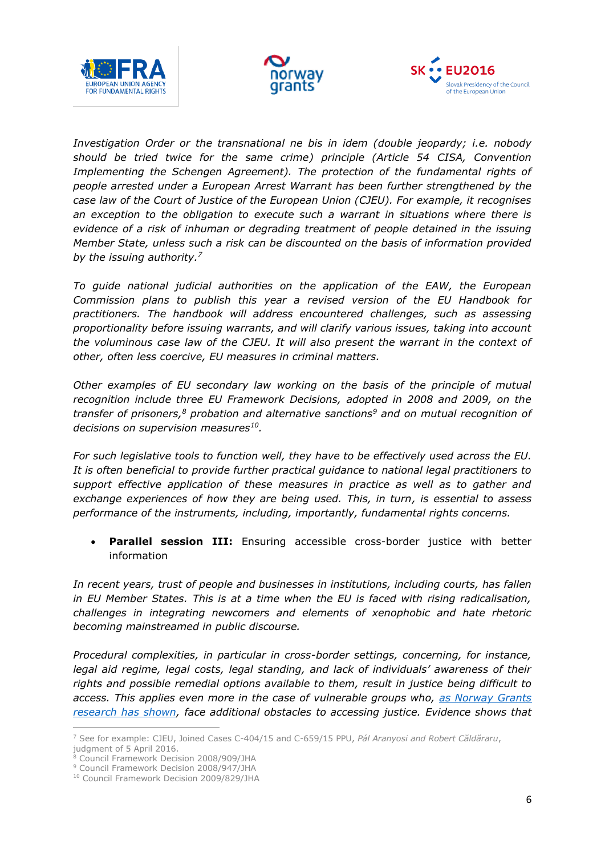





*Investigation Order or the transnational ne bis in idem (double jeopardy; i.e. nobody should be tried twice for the same crime) principle (Article 54 CISA, Convention Implementing the Schengen Agreement). The protection of the fundamental rights of people arrested under a European Arrest Warrant has been further strengthened by the case law of the Court of Justice of the European Union (CJEU). For example, it recognises an exception to the obligation to execute such a warrant in situations where there is evidence of a risk of inhuman or degrading treatment of people detained in the issuing Member State, unless such a risk can be discounted on the basis of information provided by the issuing authority.<sup>7</sup>*

*To guide national judicial authorities on the application of the EAW, the European Commission plans to publish this year a revised version of the EU Handbook for practitioners. The handbook will address encountered challenges, such as assessing proportionality before issuing warrants, and will clarify various issues, taking into account the voluminous case law of the CJEU. It will also present the warrant in the context of other, often less coercive, EU measures in criminal matters.* 

*Other examples of EU secondary law working on the basis of the principle of mutual recognition include three EU Framework Decisions, adopted in 2008 and 2009, on the transfer of prisoners,<sup>8</sup> probation and alternative sanctions<sup>9</sup> and on mutual recognition of decisions on supervision measures<sup>10</sup> .*

*For such legislative tools to function well, they have to be effectively used across the EU. It is often beneficial to provide further practical guidance to national legal practitioners to support effective application of these measures in practice as well as to gather and exchange experiences of how they are being used. This, in turn, is essential to assess performance of the instruments, including, importantly, fundamental rights concerns.*

 **Parallel session III:** Ensuring accessible cross-border justice with better information

*In recent years, trust of people and businesses in institutions, including courts, has fallen in EU Member States. This is at a time when the EU is faced with rising radicalisation, challenges in integrating newcomers and elements of xenophobic and hate rhetoric becoming mainstreamed in public discourse.* 

*Procedural complexities, in particular in cross-border settings, concerning, for instance, legal aid regime, legal costs, legal standing, and lack of individuals' awareness of their rights and possible remedial options available to them, result in justice being difficult to access. This applies even more in the case of vulnerable groups who, [as Norway Grants](https://docs.google.com/viewer?a=v&pid=sites&srcid=Y3NtLmNzbTE5MDkucm98bm9yd2F5Z3JhbnRzfGd4OjNjMWNkNDE4YmQ1NTI4NjY)  [research has shown,](https://docs.google.com/viewer?a=v&pid=sites&srcid=Y3NtLmNzbTE5MDkucm98bm9yd2F5Z3JhbnRzfGd4OjNjMWNkNDE4YmQ1NTI4NjY) face additional obstacles to accessing justice. Evidence shows that* 

**.** 

<sup>7</sup> See for example: CJEU, Joined Cases C-404/15 and C-659/15 PPU, *Pál Aranyosi and Robert Căldăraru*, judgment of 5 April 2016.

<sup>8</sup> Council Framework Decision 2008/909/JHA

<sup>9</sup> Council Framework Decision 2008/947/JHA

<sup>10</sup> Council Framework Decision 2009/829/JHA